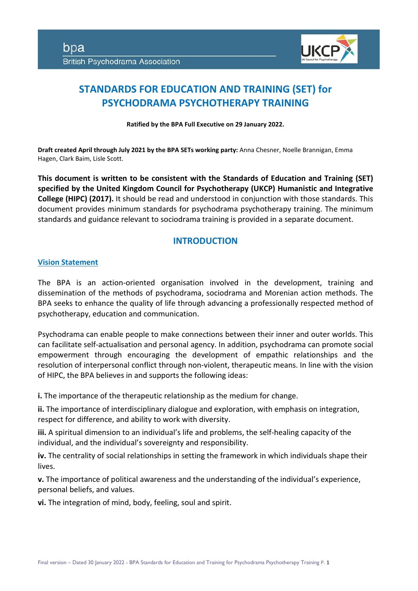

# **STANDARDS FOR EDUCATION AND TRAINING (SET) for PSYCHODRAMA PSYCHOTHERAPY TRAINING**

**Ratified by the BPA Full Executive on 29 January 2022.**

**Draft created April through July 2021 by the BPA SETs working party:** Anna Chesner, Noelle Brannigan, Emma Hagen, Clark Baim, Lisle Scott.

**This document is written to be consistent with the Standards of Education and Training (SET) specified by the United Kingdom Council for Psychotherapy (UKCP) Humanistic and Integrative College (HIPC) (2017).** It should be read and understood in conjunction with those standards. This document provides minimum standards for psychodrama psychotherapy training. The minimum standards and guidance relevant to sociodrama training is provided in a separate document.

# **INTRODUCTION**

# **Vision Statement**

The BPA is an action-oriented organisation involved in the development, training and dissemination of the methods of psychodrama, sociodrama and Morenian action methods. The BPA seeks to enhance the quality of life through advancing a professionally respected method of psychotherapy, education and communication.

Psychodrama can enable people to make connections between their inner and outer worlds. This can facilitate self-actualisation and personal agency. In addition, psychodrama can promote social empowerment through encouraging the development of empathic relationships and the resolution of interpersonal conflict through non-violent, therapeutic means. In line with the vision of HIPC, the BPA believes in and supports the following ideas:

**i.** The importance of the therapeutic relationship as the medium for change.

**ii.** The importance of interdisciplinary dialogue and exploration, with emphasis on integration, respect for difference, and ability to work with diversity.

**iii.** A spiritual dimension to an individual's life and problems, the self-healing capacity of the individual, and the individual's sovereignty and responsibility.

**iv.** The centrality of social relationships in setting the framework in which individuals shape their lives.

**v.** The importance of political awareness and the understanding of the individual's experience, personal beliefs, and values.

**vi.** The integration of mind, body, feeling, soul and spirit.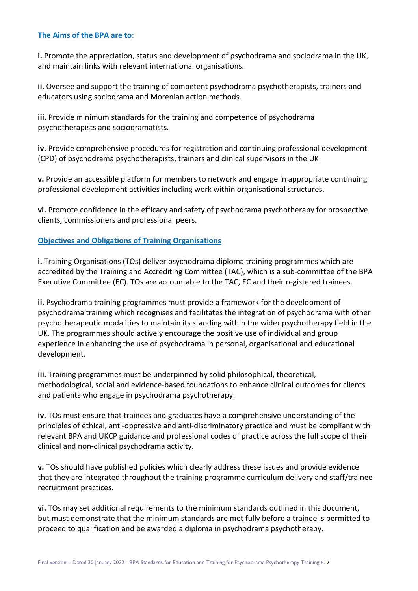#### **The Aims of the BPA are to**:

**i.** Promote the appreciation, status and development of psychodrama and sociodrama in the UK, and maintain links with relevant international organisations.

**ii.** Oversee and support the training of competent psychodrama psychotherapists, trainers and educators using sociodrama and Morenian action methods.

**iii.** Provide minimum standards for the training and competence of psychodrama psychotherapists and sociodramatists.

**iv.** Provide comprehensive procedures for registration and continuing professional development (CPD) of psychodrama psychotherapists, trainers and clinical supervisors in the UK.

**v.** Provide an accessible platform for members to network and engage in appropriate continuing professional development activities including work within organisational structures.

**vi.** Promote confidence in the efficacy and safety of psychodrama psychotherapy for prospective clients, commissioners and professional peers.

# **Objectives and Obligations of Training Organisations**

**i.** Training Organisations (TOs) deliver psychodrama diploma training programmes which are accredited by the Training and Accrediting Committee (TAC), which is a sub-committee of the BPA Executive Committee (EC). TOs are accountable to the TAC, EC and their registered trainees.

**ii.** Psychodrama training programmes must provide a framework for the development of psychodrama training which recognises and facilitates the integration of psychodrama with other psychotherapeutic modalities to maintain its standing within the wider psychotherapy field in the UK. The programmes should actively encourage the positive use of individual and group experience in enhancing the use of psychodrama in personal, organisational and educational development.

**iii.** Training programmes must be underpinned by solid philosophical, theoretical, methodological, social and evidence-based foundations to enhance clinical outcomes for clients and patients who engage in psychodrama psychotherapy.

**iv.** TOs must ensure that trainees and graduates have a comprehensive understanding of the principles of ethical, anti-oppressive and anti-discriminatory practice and must be compliant with relevant BPA and UKCP guidance and professional codes of practice across the full scope of their clinical and non-clinical psychodrama activity.

**v.** TOs should have published policies which clearly address these issues and provide evidence that they are integrated throughout the training programme curriculum delivery and staff/trainee recruitment practices.

**vi.** TOs may set additional requirements to the minimum standards outlined in this document, but must demonstrate that the minimum standards are met fully before a trainee is permitted to proceed to qualification and be awarded a diploma in psychodrama psychotherapy.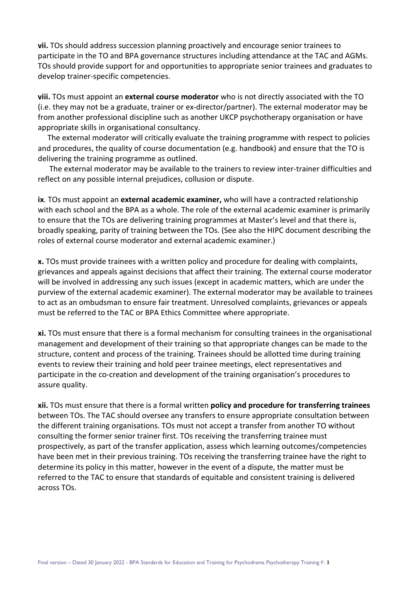**vii.** TOs should address succession planning proactively and encourage senior trainees to participate in the TO and BPA governance structures including attendance at the TAC and AGMs. TOs should provide support for and opportunities to appropriate senior trainees and graduates to develop trainer-specific competencies.

**viii.** TOs must appoint an **external course moderator** who is not directly associated with the TO (i.e. they may not be a graduate, trainer or ex-director/partner). The external moderator may be from another professional discipline such as another UKCP psychotherapy organisation or have appropriate skills in organisational consultancy.

 The external moderator will critically evaluate the training programme with respect to policies and procedures, the quality of course documentation (e.g. handbook) and ensure that the TO is delivering the training programme as outlined.

 The external moderator may be available to the trainers to review inter-trainer difficulties and reflect on any possible internal prejudices, collusion or dispute.

**ix**. TOs must appoint an **external academic examiner,** who will have a contracted relationship with each school and the BPA as a whole. The role of the external academic examiner is primarily to ensure that the TOs are delivering training programmes at Master's level and that there is, broadly speaking, parity of training between the TOs. (See also the HIPC document describing the roles of external course moderator and external academic examiner.)

**x.** TOs must provide trainees with a written policy and procedure for dealing with complaints, grievances and appeals against decisions that affect their training. The external course moderator will be involved in addressing any such issues (except in academic matters, which are under the purview of the external academic examiner). The external moderator may be available to trainees to act as an ombudsman to ensure fair treatment. Unresolved complaints, grievances or appeals must be referred to the TAC or BPA Ethics Committee where appropriate.

**xi.** TOs must ensure that there is a formal mechanism for consulting trainees in the organisational management and development of their training so that appropriate changes can be made to the structure, content and process of the training. Trainees should be allotted time during training events to review their training and hold peer trainee meetings, elect representatives and participate in the co-creation and development of the training organisation's procedures to assure quality.

**xii.** TOs must ensure that there is a formal written **policy and procedure for transferring trainees** between TOs. The TAC should oversee any transfers to ensure appropriate consultation between the different training organisations. TOs must not accept a transfer from another TO without consulting the former senior trainer first. TOs receiving the transferring trainee must prospectively, as part of the transfer application, assess which learning outcomes/competencies have been met in their previous training. TOs receiving the transferring trainee have the right to determine its policy in this matter, however in the event of a dispute, the matter must be referred to the TAC to ensure that standards of equitable and consistent training is delivered across TOs.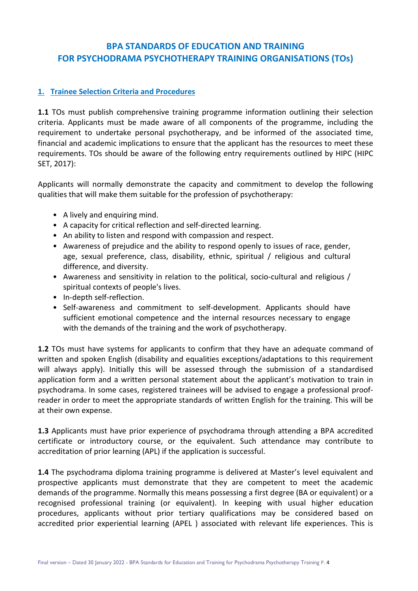# **BPA STANDARDS OF EDUCATION AND TRAINING FOR PSYCHODRAMA PSYCHOTHERAPY TRAINING ORGANISATIONS (TOs)**

# **1. Trainee Selection Criteria and Procedures**

**1.1** TOs must publish comprehensive training programme information outlining their selection criteria. Applicants must be made aware of all components of the programme, including the requirement to undertake personal psychotherapy, and be informed of the associated time, financial and academic implications to ensure that the applicant has the resources to meet these requirements. TOs should be aware of the following entry requirements outlined by HIPC (HIPC SET, 2017):

Applicants will normally demonstrate the capacity and commitment to develop the following qualities that will make them suitable for the profession of psychotherapy:

- A lively and enquiring mind.
- A capacity for critical reflection and self-directed learning.
- An ability to listen and respond with compassion and respect.
- Awareness of prejudice and the ability to respond openly to issues of race, gender, age, sexual preference, class, disability, ethnic, spiritual / religious and cultural difference, and diversity.
- Awareness and sensitivity in relation to the political, socio-cultural and religious / spiritual contexts of people's lives.
- In-depth self-reflection.
- Self-awareness and commitment to self-development. Applicants should have sufficient emotional competence and the internal resources necessary to engage with the demands of the training and the work of psychotherapy.

**1.2** TOs must have systems for applicants to confirm that they have an adequate command of written and spoken English (disability and equalities exceptions/adaptations to this requirement will always apply). Initially this will be assessed through the submission of a standardised application form and a written personal statement about the applicant's motivation to train in psychodrama. In some cases, registered trainees will be advised to engage a professional proofreader in order to meet the appropriate standards of written English for the training. This will be at their own expense.

**1.3** Applicants must have prior experience of psychodrama through attending a BPA accredited certificate or introductory course, or the equivalent. Such attendance may contribute to accreditation of prior learning (APL) if the application is successful.

**1.4** The psychodrama diploma training programme is delivered at Master's level equivalent and prospective applicants must demonstrate that they are competent to meet the academic demands of the programme. Normally this means possessing a first degree (BA or equivalent) or a recognised professional training (or equivalent). In keeping with usual higher education procedures, applicants without prior tertiary qualifications may be considered based on accredited prior experiential learning (APEL ) associated with relevant life experiences. This is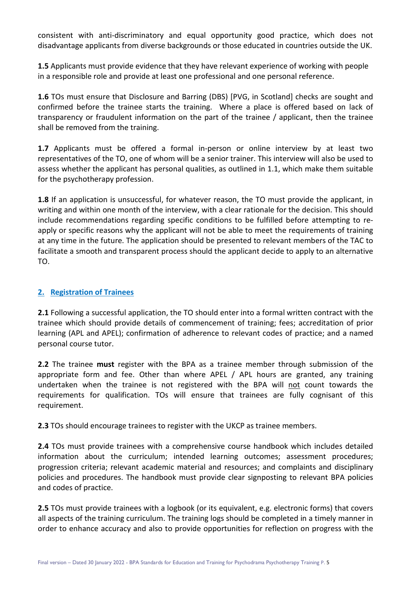consistent with anti-discriminatory and equal opportunity good practice, which does not disadvantage applicants from diverse backgrounds or those educated in countries outside the UK.

**1.5** Applicants must provide evidence that they have relevant experience of working with people in a responsible role and provide at least one professional and one personal reference.

**1.6** TOs must ensure that Disclosure and Barring (DBS) [PVG, in Scotland] checks are sought and confirmed before the trainee starts the training. Where a place is offered based on lack of transparency or fraudulent information on the part of the trainee / applicant, then the trainee shall be removed from the training.

**1.7** Applicants must be offered a formal in-person or online interview by at least two representatives of the TO, one of whom will be a senior trainer. This interview will also be used to assess whether the applicant has personal qualities, as outlined in 1.1, which make them suitable for the psychotherapy profession.

**1.8** If an application is unsuccessful, for whatever reason, the TO must provide the applicant, in writing and within one month of the interview, with a clear rationale for the decision. This should include recommendations regarding specific conditions to be fulfilled before attempting to reapply or specific reasons why the applicant will not be able to meet the requirements of training at any time in the future. The application should be presented to relevant members of the TAC to facilitate a smooth and transparent process should the applicant decide to apply to an alternative TO.

# **2. Registration of Trainees**

**2.1** Following a successful application, the TO should enter into a formal written contract with the trainee which should provide details of commencement of training; fees; accreditation of prior learning (APL and APEL); confirmation of adherence to relevant codes of practice; and a named personal course tutor.

**2.2** The trainee **must** register with the BPA as a trainee member through submission of the appropriate form and fee. Other than where APEL / APL hours are granted, any training undertaken when the trainee is not registered with the BPA will not count towards the requirements for qualification. TOs will ensure that trainees are fully cognisant of this requirement.

**2.3** TOs should encourage trainees to register with the UKCP as trainee members.

**2.4** TOs must provide trainees with a comprehensive course handbook which includes detailed information about the curriculum; intended learning outcomes; assessment procedures; progression criteria; relevant academic material and resources; and complaints and disciplinary policies and procedures. The handbook must provide clear signposting to relevant BPA policies and codes of practice.

**2.5** TOs must provide trainees with a logbook (or its equivalent, e.g. electronic forms) that covers all aspects of the training curriculum. The training logs should be completed in a timely manner in order to enhance accuracy and also to provide opportunities for reflection on progress with the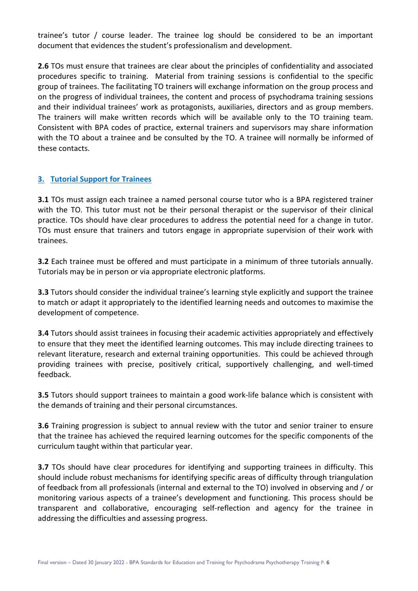trainee's tutor / course leader. The trainee log should be considered to be an important document that evidences the student's professionalism and development.

**2.6** TOs must ensure that trainees are clear about the principles of confidentiality and associated procedures specific to training. Material from training sessions is confidential to the specific group of trainees. The facilitating TO trainers will exchange information on the group process and on the progress of individual trainees, the content and process of psychodrama training sessions and their individual trainees' work as protagonists, auxiliaries, directors and as group members. The trainers will make written records which will be available only to the TO training team. Consistent with BPA codes of practice, external trainers and supervisors may share information with the TO about a trainee and be consulted by the TO. A trainee will normally be informed of these contacts.

# **3. Tutorial Support for Trainees**

**3.1** TOs must assign each trainee a named personal course tutor who is a BPA registered trainer with the TO. This tutor must not be their personal therapist or the supervisor of their clinical practice. TOs should have clear procedures to address the potential need for a change in tutor. TOs must ensure that trainers and tutors engage in appropriate supervision of their work with trainees.

**3.2** Each trainee must be offered and must participate in a minimum of three tutorials annually. Tutorials may be in person or via appropriate electronic platforms.

**3.3** Tutors should consider the individual trainee's learning style explicitly and support the trainee to match or adapt it appropriately to the identified learning needs and outcomes to maximise the development of competence.

**3.4** Tutors should assist trainees in focusing their academic activities appropriately and effectively to ensure that they meet the identified learning outcomes. This may include directing trainees to relevant literature, research and external training opportunities. This could be achieved through providing trainees with precise, positively critical, supportively challenging, and well-timed feedback.

**3.5** Tutors should support trainees to maintain a good work-life balance which is consistent with the demands of training and their personal circumstances.

**3.6** Training progression is subject to annual review with the tutor and senior trainer to ensure that the trainee has achieved the required learning outcomes for the specific components of the curriculum taught within that particular year.

**3.7** TOs should have clear procedures for identifying and supporting trainees in difficulty. This should include robust mechanisms for identifying specific areas of difficulty through triangulation of feedback from all professionals (internal and external to the TO) involved in observing and / or monitoring various aspects of a trainee's development and functioning. This process should be transparent and collaborative, encouraging self-reflection and agency for the trainee in addressing the difficulties and assessing progress.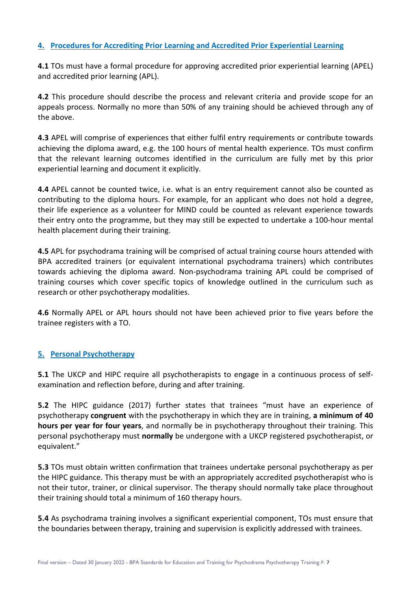# **4. Procedures for Accrediting Prior Learning and Accredited Prior Experiential Learning**

**4.1** TOs must have a formal procedure for approving accredited prior experiential learning (APEL) and accredited prior learning (APL).

**4.2** This procedure should describe the process and relevant criteria and provide scope for an appeals process. Normally no more than 50% of any training should be achieved through any of the above.

**4.3** APEL will comprise of experiences that either fulfil entry requirements or contribute towards achieving the diploma award, e.g. the 100 hours of mental health experience. TOs must confirm that the relevant learning outcomes identified in the curriculum are fully met by this prior experiential learning and document it explicitly.

**4.4** APEL cannot be counted twice, i.e. what is an entry requirement cannot also be counted as contributing to the diploma hours. For example, for an applicant who does not hold a degree, their life experience as a volunteer for MIND could be counted as relevant experience towards their entry onto the programme, but they may still be expected to undertake a 100-hour mental health placement during their training.

**4.5** APL for psychodrama training will be comprised of actual training course hours attended with BPA accredited trainers (or equivalent international psychodrama trainers) which contributes towards achieving the diploma award. Non-psychodrama training APL could be comprised of training courses which cover specific topics of knowledge outlined in the curriculum such as research or other psychotherapy modalities.

**4.6** Normally APEL or APL hours should not have been achieved prior to five years before the trainee registers with a TO.

#### **5. Personal Psychotherapy**

**5.1** The UKCP and HIPC require all psychotherapists to engage in a continuous process of selfexamination and reflection before, during and after training.

**5.2** The HIPC guidance (2017) further states that trainees "must have an experience of psychotherapy **congruent** with the psychotherapy in which they are in training, **a minimum of 40 hours per year for four years**, and normally be in psychotherapy throughout their training. This personal psychotherapy must **normally** be undergone with a UKCP registered psychotherapist, or equivalent."

**5.3** TOs must obtain written confirmation that trainees undertake personal psychotherapy as per the HIPC guidance. This therapy must be with an appropriately accredited psychotherapist who is not their tutor, trainer, or clinical supervisor. The therapy should normally take place throughout their training should total a minimum of 160 therapy hours.

**5.4** As psychodrama training involves a significant experiential component, TOs must ensure that the boundaries between therapy, training and supervision is explicitly addressed with trainees.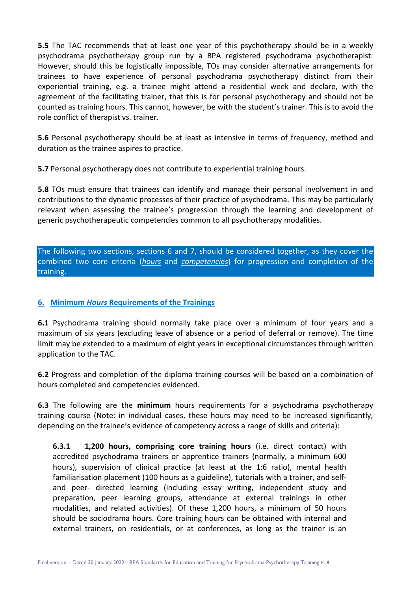**5.5** The TAC recommends that at least one year of this psychotherapy should be in a weekly psychodrama psychotherapy group run by a BPA registered psychodrama psychotherapist. However, should this be logistically impossible, TOs may consider alternative arrangements for trainees to have experience of personal psychodrama psychotherapy distinct from their experiential training, e.g. a trainee might attend a residential week and declare, with the agreement of the facilitating trainer, that this is for personal psychotherapy and should not be counted as training hours. This cannot, however, be with the student's trainer. This is to avoid the role conflict of therapist vs. trainer.

**5.6** Personal psychotherapy should be at least as intensive in terms of frequency, method and duration as the trainee aspires to practice.

**5.7** Personal psychotherapy does not contribute to experiential training hours.

**5.8** TOs must ensure that trainees can identify and manage their personal involvement in and contributions to the dynamic processes of their practice of psychodrama. This may be particularly relevant when assessing the trainee's progression through the learning and development of generic psychotherapeutic competencies common to all psychotherapy modalities.

The following two sections, sections 6 and 7, should be considered together, as they cover the combined two core criteria (*hours* and *competencies*) for progression and completion of the training.

#### **6. Minimum** *Hours* **Requirements of the Trainings**

**6.1** Psychodrama training should normally take place over a minimum of four years and a maximum of six years (excluding leave of absence or a period of deferral or remove). The time limit may be extended to a maximum of eight years in exceptional circumstances through written application to the TAC.

**6.2** Progress and completion of the diploma training courses will be based on a combination of hours completed and competencies evidenced.

**6.3** The following are the **minimum** hours requirements for a psychodrama psychotherapy training course (Note: in individual cases, these hours may need to be increased significantly, depending on the trainee's evidence of competency across a range of skills and criteria):

**6.3.1 1,200 hours, comprising core training hours** (i.e. direct contact) with accredited psychodrama trainers or apprentice trainers (normally, a minimum 600 hours), supervision of clinical practice (at least at the 1:6 ratio), mental health familiarisation placement (100 hours as a guideline), tutorials with a trainer, and selfand peer- directed learning (including essay writing, independent study and preparation, peer learning groups, attendance at external trainings in other modalities, and related activities). Of these 1,200 hours, a minimum of 50 hours should be sociodrama hours. Core training hours can be obtained with internal and external trainers, on residentials, or at conferences, as long as the trainer is an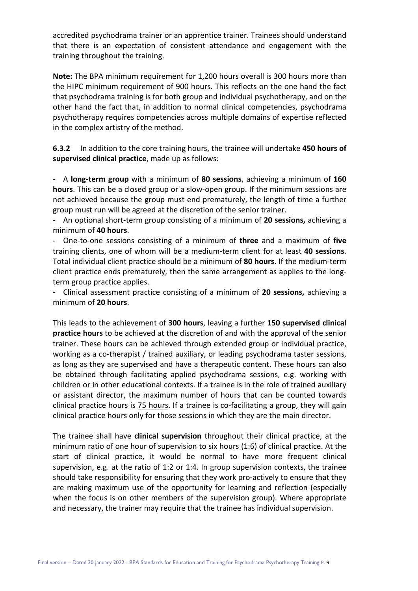accredited psychodrama trainer or an apprentice trainer. Trainees should understand that there is an expectation of consistent attendance and engagement with the training throughout the training.

**Note:** The BPA minimum requirement for 1,200 hours overall is 300 hours more than the HIPC minimum requirement of 900 hours. This reflects on the one hand the fact that psychodrama training is for both group and individual psychotherapy, and on the other hand the fact that, in addition to normal clinical competencies, psychodrama psychotherapy requires competencies across multiple domains of expertise reflected in the complex artistry of the method.

**6.3.2** In addition to the core training hours, the trainee will undertake **450 hours of supervised clinical practice**, made up as follows:

- A **long-term group** with a minimum of **80 sessions**, achieving a minimum of **160 hours**. This can be a closed group or a slow-open group. If the minimum sessions are not achieved because the group must end prematurely, the length of time a further group must run will be agreed at the discretion of the senior trainer.

- An optional short-term group consisting of a minimum of **20 sessions,** achieving a minimum of **40 hours**.

- One-to-one sessions consisting of a minimum of **three** and a maximum of **five** training clients, one of whom will be a medium-term client for at least **40 sessions**. Total individual client practice should be a minimum of **80 hours**. If the medium-term client practice ends prematurely, then the same arrangement as applies to the longterm group practice applies.

- Clinical assessment practice consisting of a minimum of **20 sessions,** achieving a minimum of **20 hours**.

This leads to the achievement of **300 hours**, leaving a further **150 supervised clinical practice hours** to be achieved at the discretion of and with the approval of the senior trainer. These hours can be achieved through extended group or individual practice, working as a co-therapist / trained auxiliary, or leading psychodrama taster sessions, as long as they are supervised and have a therapeutic content. These hours can also be obtained through facilitating applied psychodrama sessions, e.g. working with children or in other educational contexts. If a trainee is in the role of trained auxiliary or assistant director, the maximum number of hours that can be counted towards clinical practice hours is 75 hours. If a trainee is co-facilitating a group, they will gain clinical practice hours only for those sessions in which they are the main director.

The trainee shall have **clinical supervision** throughout their clinical practice, at the minimum ratio of one hour of supervision to six hours (1:6) of clinical practice. At the start of clinical practice, it would be normal to have more frequent clinical supervision, e.g. at the ratio of 1:2 or 1:4. In group supervision contexts, the trainee should take responsibility for ensuring that they work pro-actively to ensure that they are making maximum use of the opportunity for learning and reflection (especially when the focus is on other members of the supervision group). Where appropriate and necessary, the trainer may require that the trainee has individual supervision.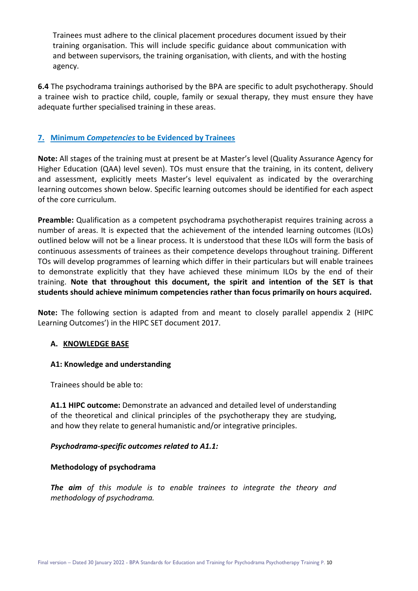Trainees must adhere to the clinical placement procedures document issued by their training organisation. This will include specific guidance about communication with and between supervisors, the training organisation, with clients, and with the hosting agency.

**6.4** The psychodrama trainings authorised by the BPA are specific to adult psychotherapy. Should a trainee wish to practice child, couple, family or sexual therapy, they must ensure they have adequate further specialised training in these areas.

# **7. Minimum** *Competencies* **to be Evidenced by Trainees**

**Note:** All stages of the training must at present be at Master's level (Quality Assurance Agency for Higher Education (QAA) level seven). TOs must ensure that the training, in its content, delivery and assessment, explicitly meets Master's level equivalent as indicated by the overarching learning outcomes shown below. Specific learning outcomes should be identified for each aspect of the core curriculum.

**Preamble:** Qualification as a competent psychodrama psychotherapist requires training across a number of areas. It is expected that the achievement of the intended learning outcomes (ILOs) outlined below will not be a linear process. It is understood that these ILOs will form the basis of continuous assessments of trainees as their competence develops throughout training. Different TOs will develop programmes of learning which differ in their particulars but will enable trainees to demonstrate explicitly that they have achieved these minimum ILOs by the end of their training. **Note that throughout this document, the spirit and intention of the SET is that students should achieve minimum competencies rather than focus primarily on hours acquired.**

**Note:** The following section is adapted from and meant to closely parallel appendix 2 (HIPC Learning Outcomes') in the HIPC SET document 2017.

#### **A. KNOWLEDGE BASE**

#### **A1: Knowledge and understanding**

Trainees should be able to:

**A1.1 HIPC outcome:** Demonstrate an advanced and detailed level of understanding of the theoretical and clinical principles of the psychotherapy they are studying, and how they relate to general humanistic and/or integrative principles.

#### *Psychodrama-specific outcomes related to A1.1:*

#### **Methodology of psychodrama**

*The aim of this module is to enable trainees to integrate the theory and methodology of psychodrama.*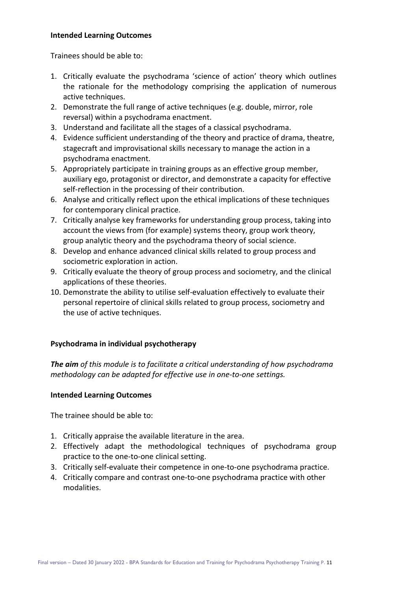#### **Intended Learning Outcomes**

Trainees should be able to:

- 1. Critically evaluate the psychodrama 'science of action' theory which outlines the rationale for the methodology comprising the application of numerous active techniques.
- 2. Demonstrate the full range of active techniques (e.g. double, mirror, role reversal) within a psychodrama enactment.
- 3. Understand and facilitate all the stages of a classical psychodrama.
- 4. Evidence sufficient understanding of the theory and practice of drama, theatre, stagecraft and improvisational skills necessary to manage the action in a psychodrama enactment.
- 5. Appropriately participate in training groups as an effective group member, auxiliary ego, protagonist or director, and demonstrate a capacity for effective self-reflection in the processing of their contribution.
- 6. Analyse and critically reflect upon the ethical implications of these techniques for contemporary clinical practice.
- 7. Critically analyse key frameworks for understanding group process, taking into account the views from (for example) systems theory, group work theory, group analytic theory and the psychodrama theory of social science.
- 8. Develop and enhance advanced clinical skills related to group process and sociometric exploration in action.
- 9. Critically evaluate the theory of group process and sociometry, and the clinical applications of these theories.
- 10. Demonstrate the ability to utilise self-evaluation effectively to evaluate their personal repertoire of clinical skills related to group process, sociometry and the use of active techniques.

#### **Psychodrama in individual psychotherapy**

*The aim of this module is to facilitate a critical understanding of how psychodrama methodology can be adapted for effective use in one-to-one settings.*

#### **Intended Learning Outcomes**

The trainee should be able to:

- 1. Critically appraise the available literature in the area.
- 2. Effectively adapt the methodological techniques of psychodrama group practice to the one-to-one clinical setting.
- 3. Critically self-evaluate their competence in one-to-one psychodrama practice.
- 4. Critically compare and contrast one-to-one psychodrama practice with other modalities.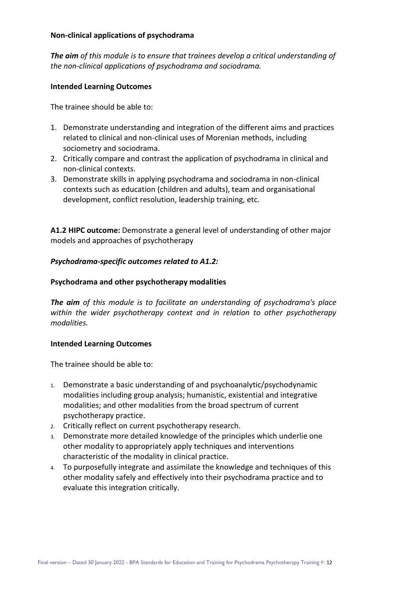#### **Non-clinical applications of psychodrama**

*The aim of this module is to ensure that trainees develop a critical understanding of the non-clinical applications of psychodrama and sociodrama.*

#### **Intended Learning Outcomes**

The trainee should be able to:

- 1. Demonstrate understanding and integration of the different aims and practices related to clinical and non-clinical uses of Morenian methods, including sociometry and sociodrama.
- 2. Critically compare and contrast the application of psychodrama in clinical and non-clinical contexts.
- 3. Demonstrate skills in applying psychodrama and sociodrama in non-clinical contexts such as education (children and adults), team and organisational development, conflict resolution, leadership training, etc.

**A1.2 HIPC outcome:** Demonstrate a general level of understanding of other major models and approaches of psychotherapy

#### *Psychodrama-specific outcomes related to A1.2:*

#### **Psychodrama and other psychotherapy modalities**

*The aim of this module is to facilitate an understanding of psychodrama's place within the wider psychotherapy context and in relation to other psychotherapy modalities.*

#### **Intended Learning Outcomes**

The trainee should be able to:

- 1. Demonstrate a basic understanding of and psychoanalytic/psychodynamic modalities including group analysis; humanistic, existential and integrative modalities; and other modalities from the broad spectrum of current psychotherapy practice.
- 2. Critically reflect on current psychotherapy research.
- 3. Demonstrate more detailed knowledge of the principles which underlie one other modality to appropriately apply techniques and interventions characteristic of the modality in clinical practice.
- 4. To purposefully integrate and assimilate the knowledge and techniques of this other modality safely and effectively into their psychodrama practice and to evaluate this integration critically.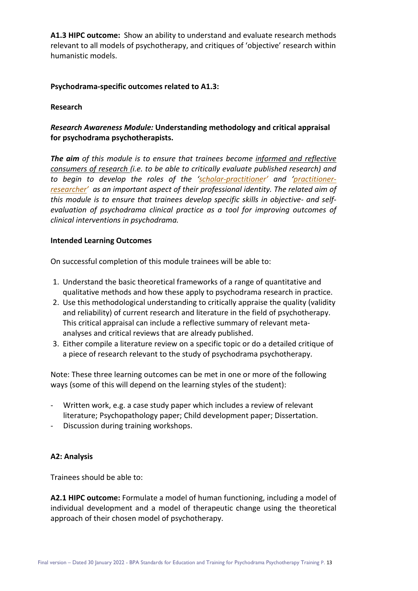**A1.3 HIPC outcome:** Show an ability to understand and evaluate research methods relevant to all models of psychotherapy, and critiques of 'objective' research within humanistic models.

#### **Psychodrama-specific outcomes related to A1.3:**

#### **Research**

# *Research Awareness Module:* **Understanding methodology and critical appraisal for psychodrama psychotherapists.**

*The aim of this module is to ensure that trainees become informed and reflective consumers of research (i.e. to be able to critically evaluate published research) and to begin to develop the roles of the ['scholar-practitioner'](https://journals.sagepub.com/doi/abs/10.1177/0021886308327238) and ['practitioner](https://www.scie.org.uk/publications/researchmindedness/researchsocialworksocialcare/practitionerresearch/)[researcher'](https://www.scie.org.uk/publications/researchmindedness/researchsocialworksocialcare/practitionerresearch/) as an important aspect of their professional identity. The related aim of this module is to ensure that trainees develop specific skills in objective- and selfevaluation of psychodrama clinical practice as a tool for improving outcomes of clinical interventions in psychodrama.*

#### **Intended Learning Outcomes**

On successful completion of this module trainees will be able to:

- 1. Understand the basic theoretical frameworks of a range of quantitative and qualitative methods and how these apply to psychodrama research in practice.
- 2. Use this methodological understanding to critically appraise the quality (validity and reliability) of current research and literature in the field of psychotherapy. This critical appraisal can include a reflective summary of relevant metaanalyses and critical reviews that are already published.
- 3. Either compile a literature review on a specific topic or do a detailed critique of a piece of research relevant to the study of psychodrama psychotherapy.

Note: These three learning outcomes can be met in one or more of the following ways (some of this will depend on the learning styles of the student):

- Written work, e.g. a case study paper which includes a review of relevant literature; Psychopathology paper; Child development paper; Dissertation.
- Discussion during training workshops.

#### **A2: Analysis**

Trainees should be able to:

**A2.1 HIPC outcome:** Formulate a model of human functioning, including a model of individual development and a model of therapeutic change using the theoretical approach of their chosen model of psychotherapy.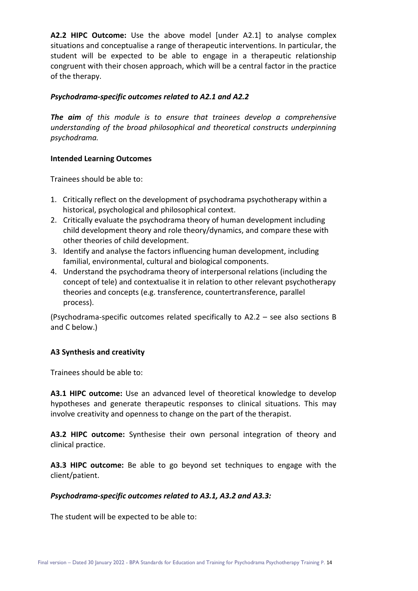**A2.2 HIPC Outcome:** Use the above model [under A2.1] to analyse complex situations and conceptualise a range of therapeutic interventions. In particular, the student will be expected to be able to engage in a therapeutic relationship congruent with their chosen approach, which will be a central factor in the practice of the therapy.

#### *Psychodrama-specific outcomes related to A2.1 and A2.2*

*The aim of this module is to ensure that trainees develop a comprehensive understanding of the broad philosophical and theoretical constructs underpinning psychodrama.*

# **Intended Learning Outcomes**

Trainees should be able to:

- 1. Critically reflect on the development of psychodrama psychotherapy within a historical, psychological and philosophical context.
- 2. Critically evaluate the psychodrama theory of human development including child development theory and role theory/dynamics, and compare these with other theories of child development.
- 3. Identify and analyse the factors influencing human development, including familial, environmental, cultural and biological components.
- 4. Understand the psychodrama theory of interpersonal relations (including the concept of tele) and contextualise it in relation to other relevant psychotherapy theories and concepts (e.g. transference, countertransference, parallel process).

(Psychodrama-specific outcomes related specifically to A2.2 – see also sections B and C below.)

# **A3 Synthesis and creativity**

Trainees should be able to:

**A3.1 HIPC outcome:** Use an advanced level of theoretical knowledge to develop hypotheses and generate therapeutic responses to clinical situations. This may involve creativity and openness to change on the part of the therapist.

**A3.2 HIPC outcome:** Synthesise their own personal integration of theory and clinical practice.

**A3.3 HIPC outcome:** Be able to go beyond set techniques to engage with the client/patient.

#### *Psychodrama-specific outcomes related to A3.1, A3.2 and A3.3:*

The student will be expected to be able to: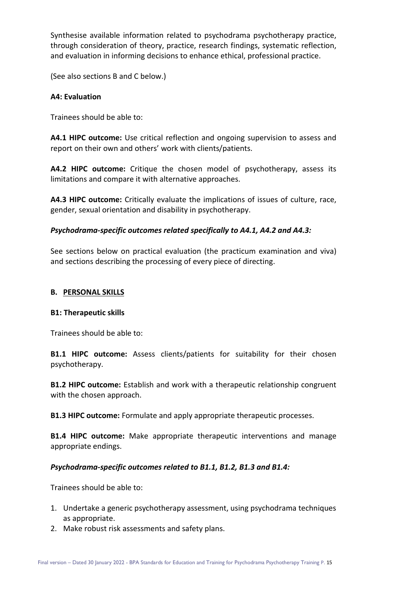Synthesise available information related to psychodrama psychotherapy practice, through consideration of theory, practice, research findings, systematic reflection, and evaluation in informing decisions to enhance ethical, professional practice.

(See also sections B and C below.)

#### **A4: Evaluation**

Trainees should be able to:

**A4.1 HIPC outcome:** Use critical reflection and ongoing supervision to assess and report on their own and others' work with clients/patients.

**A4.2 HIPC outcome:** Critique the chosen model of psychotherapy, assess its limitations and compare it with alternative approaches.

**A4.3 HIPC outcome:** Critically evaluate the implications of issues of culture, race, gender, sexual orientation and disability in psychotherapy.

# *Psychodrama-specific outcomes related specifically to A4.1, A4.2 and A4.3:*

See sections below on practical evaluation (the practicum examination and viva) and sections describing the processing of every piece of directing.

#### **B. PERSONAL SKILLS**

#### **B1: Therapeutic skills**

Trainees should be able to:

**B1.1 HIPC outcome:** Assess clients/patients for suitability for their chosen psychotherapy.

**B1.2 HIPC outcome:** Establish and work with a therapeutic relationship congruent with the chosen approach.

**B1.3 HIPC outcome:** Formulate and apply appropriate therapeutic processes.

**B1.4 HIPC outcome:** Make appropriate therapeutic interventions and manage appropriate endings.

#### *Psychodrama-specific outcomes related to B1.1, B1.2, B1.3 and B1.4:*

Trainees should be able to:

- 1. Undertake a generic psychotherapy assessment, using psychodrama techniques as appropriate.
- 2. Make robust risk assessments and safety plans.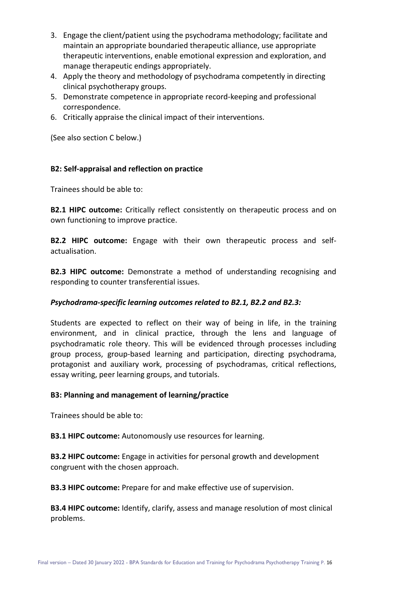- 3. Engage the client/patient using the psychodrama methodology; facilitate and maintain an appropriate boundaried therapeutic alliance, use appropriate therapeutic interventions, enable emotional expression and exploration, and manage therapeutic endings appropriately.
- 4. Apply the theory and methodology of psychodrama competently in directing clinical psychotherapy groups.
- 5. Demonstrate competence in appropriate record-keeping and professional correspondence.
- 6. Critically appraise the clinical impact of their interventions.

(See also section C below.)

# **B2: Self-appraisal and reflection on practice**

Trainees should be able to:

**B2.1 HIPC outcome:** Critically reflect consistently on therapeutic process and on own functioning to improve practice.

**B2.2 HIPC outcome:** Engage with their own therapeutic process and selfactualisation.

**B2.3 HIPC outcome:** Demonstrate a method of understanding recognising and responding to counter transferential issues.

#### *Psychodrama-specific learning outcomes related to B2.1, B2.2 and B2.3:*

Students are expected to reflect on their way of being in life, in the training environment, and in clinical practice, through the lens and language of psychodramatic role theory. This will be evidenced through processes including group process, group-based learning and participation, directing psychodrama, protagonist and auxiliary work, processing of psychodramas, critical reflections, essay writing, peer learning groups, and tutorials.

#### **B3: Planning and management of learning/practice**

Trainees should be able to:

**B3.1 HIPC outcome:** Autonomously use resources for learning.

**B3.2 HIPC outcome:** Engage in activities for personal growth and development congruent with the chosen approach.

**B3.3 HIPC outcome:** Prepare for and make effective use of supervision.

**B3.4 HIPC outcome:** Identify, clarify, assess and manage resolution of most clinical problems.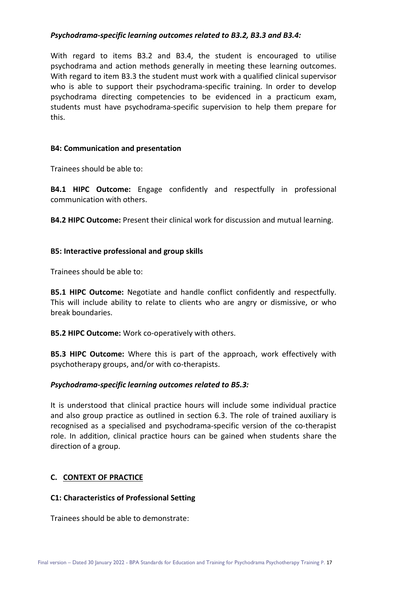#### *Psychodrama-specific learning outcomes related to B3.2, B3.3 and B3.4:*

With regard to items B3.2 and B3.4, the student is encouraged to utilise psychodrama and action methods generally in meeting these learning outcomes. With regard to item B3.3 the student must work with a qualified clinical supervisor who is able to support their psychodrama-specific training. In order to develop psychodrama directing competencies to be evidenced in a practicum exam, students must have psychodrama-specific supervision to help them prepare for this.

#### **B4: Communication and presentation**

Trainees should be able to:

**B4.1 HIPC Outcome:** Engage confidently and respectfully in professional communication with others.

**B4.2 HIPC Outcome:** Present their clinical work for discussion and mutual learning.

#### **B5: Interactive professional and group skills**

Trainees should be able to:

**B5.1 HIPC Outcome:** Negotiate and handle conflict confidently and respectfully. This will include ability to relate to clients who are angry or dismissive, or who break boundaries.

**B5.2 HIPC Outcome:** Work co-operatively with others.

**B5.3 HIPC Outcome:** Where this is part of the approach, work effectively with psychotherapy groups, and/or with co-therapists.

#### *Psychodrama-specific learning outcomes related to B5.3:*

It is understood that clinical practice hours will include some individual practice and also group practice as outlined in section 6.3. The role of trained auxiliary is recognised as a specialised and psychodrama-specific version of the co-therapist role. In addition, clinical practice hours can be gained when students share the direction of a group.

#### **C. CONTEXT OF PRACTICE**

#### **C1: Characteristics of Professional Setting**

Trainees should be able to demonstrate: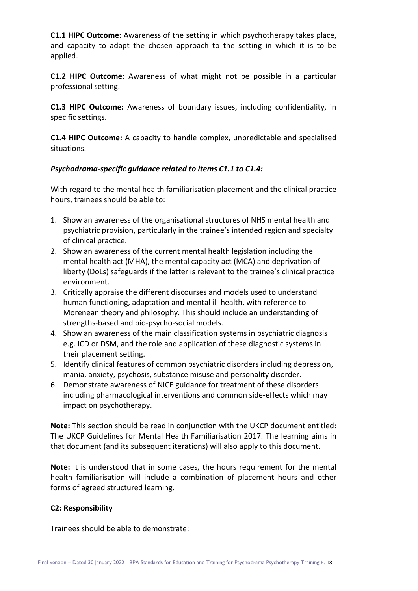**C1.1 HIPC Outcome:** Awareness of the setting in which psychotherapy takes place, and capacity to adapt the chosen approach to the setting in which it is to be applied.

**C1.2 HIPC Outcome:** Awareness of what might not be possible in a particular professional setting.

**C1.3 HIPC Outcome:** Awareness of boundary issues, including confidentiality, in specific settings.

**C1.4 HIPC Outcome:** A capacity to handle complex, unpredictable and specialised situations.

# *Psychodrama-specific guidance related to items C1.1 to C1.4:*

With regard to the mental health familiarisation placement and the clinical practice hours, trainees should be able to:

- 1. Show an awareness of the organisational structures of NHS mental health and psychiatric provision, particularly in the trainee's intended region and specialty of clinical practice.
- 2. Show an awareness of the current mental health legislation including the mental health act (MHA), the mental capacity act (MCA) and deprivation of liberty (DoLs) safeguards if the latter is relevant to the trainee's clinical practice environment.
- 3. Critically appraise the different discourses and models used to understand human functioning, adaptation and mental ill-health, with reference to Morenean theory and philosophy. This should include an understanding of strengths-based and bio-psycho-social models.
- 4. Show an awareness of the main classification systems in psychiatric diagnosis e.g. ICD or DSM, and the role and application of these diagnostic systems in their placement setting.
- 5. Identify clinical features of common psychiatric disorders including depression, mania, anxiety, psychosis, substance misuse and personality disorder.
- 6. Demonstrate awareness of NICE guidance for treatment of these disorders including pharmacological interventions and common side-effects which may impact on psychotherapy.

**Note:** This section should be read in conjunction with the UKCP document entitled: The UKCP Guidelines for Mental Health Familiarisation 2017. The learning aims in that document (and its subsequent iterations) will also apply to this document.

**Note:** It is understood that in some cases, the hours requirement for the mental health familiarisation will include a combination of placement hours and other forms of agreed structured learning.

#### **C2: Responsibility**

Trainees should be able to demonstrate: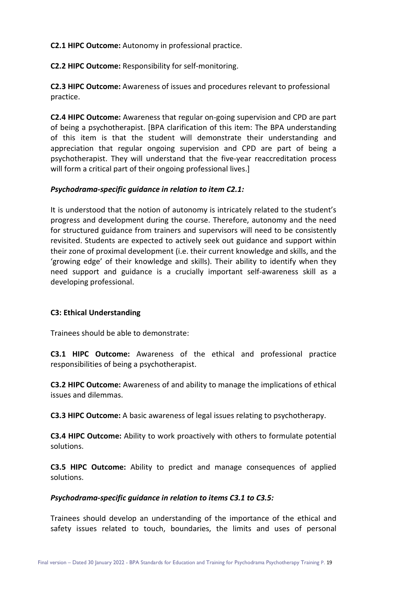**C2.1 HIPC Outcome:** Autonomy in professional practice.

**C2.2 HIPC Outcome:** Responsibility for self-monitoring.

**C2.3 HIPC Outcome:** Awareness of issues and procedures relevant to professional practice.

**C2.4 HIPC Outcome:** Awareness that regular on-going supervision and CPD are part of being a psychotherapist. [BPA clarification of this item: The BPA understanding of this item is that the student will demonstrate their understanding and appreciation that regular ongoing supervision and CPD are part of being a psychotherapist. They will understand that the five-year reaccreditation process will form a critical part of their ongoing professional lives.

# *Psychodrama-specific guidance in relation to item C2.1:*

It is understood that the notion of autonomy is intricately related to the student's progress and development during the course. Therefore, autonomy and the need for structured guidance from trainers and supervisors will need to be consistently revisited. Students are expected to actively seek out guidance and support within their zone of proximal development (i.e. their current knowledge and skills, and the 'growing edge' of their knowledge and skills). Their ability to identify when they need support and guidance is a crucially important self-awareness skill as a developing professional.

#### **C3: Ethical Understanding**

Trainees should be able to demonstrate:

**C3.1 HIPC Outcome:** Awareness of the ethical and professional practice responsibilities of being a psychotherapist.

**C3.2 HIPC Outcome:** Awareness of and ability to manage the implications of ethical issues and dilemmas.

**C3.3 HIPC Outcome:** A basic awareness of legal issues relating to psychotherapy.

**C3.4 HIPC Outcome:** Ability to work proactively with others to formulate potential solutions.

**C3.5 HIPC Outcome:** Ability to predict and manage consequences of applied solutions.

#### *Psychodrama-specific guidance in relation to items C3.1 to C3.5:*

Trainees should develop an understanding of the importance of the ethical and safety issues related to touch, boundaries, the limits and uses of personal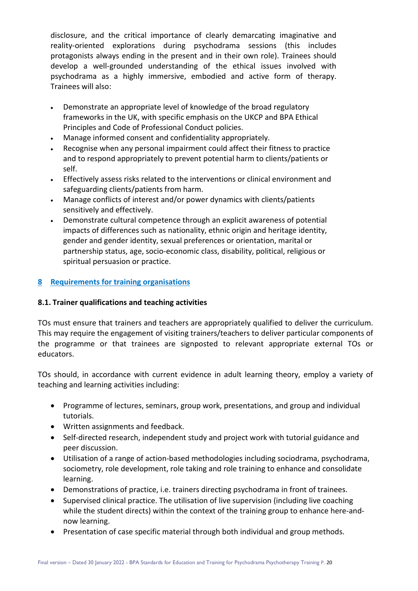disclosure, and the critical importance of clearly demarcating imaginative and reality-oriented explorations during psychodrama sessions (this includes protagonists always ending in the present and in their own role). Trainees should develop a well-grounded understanding of the ethical issues involved with psychodrama as a highly immersive, embodied and active form of therapy. Trainees will also:

- Demonstrate an appropriate level of knowledge of the broad regulatory frameworks in the UK, with specific emphasis on the UKCP and BPA Ethical Principles and Code of Professional Conduct policies.
- Manage informed consent and confidentiality appropriately.
- Recognise when any personal impairment could affect their fitness to practice and to respond appropriately to prevent potential harm to clients/patients or self.
- Effectively assess risks related to the interventions or clinical environment and safeguarding clients/patients from harm.
- Manage conflicts of interest and/or power dynamics with clients/patients sensitively and effectively.
- Demonstrate cultural competence through an explicit awareness of potential impacts of differences such as nationality, ethnic origin and heritage identity, gender and gender identity, sexual preferences or orientation, marital or partnership status, age, socio-economic class, disability, political, religious or spiritual persuasion or practice.

# **8 Requirements for training organisations**

# **8.1. Trainer qualifications and teaching activities**

TOs must ensure that trainers and teachers are appropriately qualified to deliver the curriculum. This may require the engagement of visiting trainers/teachers to deliver particular components of the programme or that trainees are signposted to relevant appropriate external TOs or educators.

TOs should, in accordance with current evidence in adult learning theory, employ a variety of teaching and learning activities including:

- Programme of lectures, seminars, group work, presentations, and group and individual tutorials.
- Written assignments and feedback.
- Self-directed research, independent study and project work with tutorial guidance and peer discussion.
- Utilisation of a range of action-based methodologies including sociodrama, psychodrama, sociometry, role development, role taking and role training to enhance and consolidate learning.
- Demonstrations of practice, i.e. trainers directing psychodrama in front of trainees.
- Supervised clinical practice. The utilisation of live supervision (including live coaching while the student directs) within the context of the training group to enhance here-andnow learning.
- Presentation of case specific material through both individual and group methods.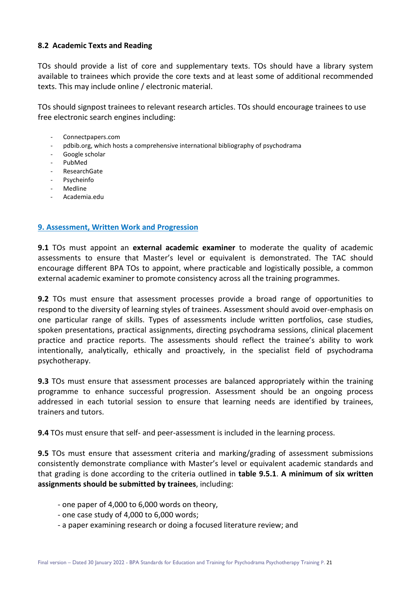#### **8.2 Academic Texts and Reading**

TOs should provide a list of core and supplementary texts. TOs should have a library system available to trainees which provide the core texts and at least some of additional recommended texts. This may include online / electronic material.

TOs should signpost trainees to relevant research articles. TOs should encourage trainees to use free electronic search engines including:

- Connectpapers.com
- pdbib.org, which hosts a comprehensive international bibliography of psychodrama
- Google scholar
- PubMed
- ResearchGate
- Psycheinfo
- Medline
- Academia.edu

# **9. Assessment, Written Work and Progression**

**9.1** TOs must appoint an **external academic examiner** to moderate the quality of academic assessments to ensure that Master's level or equivalent is demonstrated. The TAC should encourage different BPA TOs to appoint, where practicable and logistically possible, a common external academic examiner to promote consistency across all the training programmes.

**9.2** TOs must ensure that assessment processes provide a broad range of opportunities to respond to the diversity of learning styles of trainees. Assessment should avoid over-emphasis on one particular range of skills. Types of assessments include written portfolios, case studies, spoken presentations, practical assignments, directing psychodrama sessions, clinical placement practice and practice reports. The assessments should reflect the trainee's ability to work intentionally, analytically, ethically and proactively, in the specialist field of psychodrama psychotherapy.

**9.3** TOs must ensure that assessment processes are balanced appropriately within the training programme to enhance successful progression. Assessment should be an ongoing process addressed in each tutorial session to ensure that learning needs are identified by trainees, trainers and tutors.

**9.4** TOs must ensure that self- and peer-assessment is included in the learning process.

**9.5** TOs must ensure that assessment criteria and marking/grading of assessment submissions consistently demonstrate compliance with Master's level or equivalent academic standards and that grading is done according to the criteria outlined in **table 9.5.1**. **A minimum of six written assignments should be submitted by trainees**, including:

- one paper of 4,000 to 6,000 words on theory,
- one case study of 4,000 to 6,000 words;
- a paper examining research or doing a focused literature review; and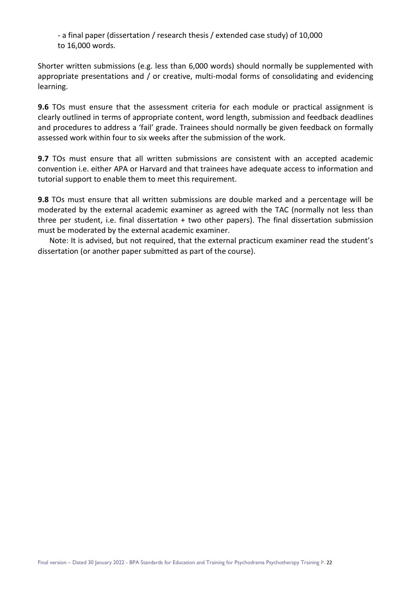- a final paper (dissertation / research thesis / extended case study) of 10,000 to 16,000 words.

Shorter written submissions (e.g. less than 6,000 words) should normally be supplemented with appropriate presentations and / or creative, multi-modal forms of consolidating and evidencing learning.

**9.6** TOs must ensure that the assessment criteria for each module or practical assignment is clearly outlined in terms of appropriate content, word length, submission and feedback deadlines and procedures to address a 'fail' grade. Trainees should normally be given feedback on formally assessed work within four to six weeks after the submission of the work.

**9.7** TOs must ensure that all written submissions are consistent with an accepted academic convention i.e. either APA or Harvard and that trainees have adequate access to information and tutorial support to enable them to meet this requirement.

**9.8** TOs must ensure that all written submissions are double marked and a percentage will be moderated by the external academic examiner as agreed with the TAC (normally not less than three per student, i.e. final dissertation + two other papers). The final dissertation submission must be moderated by the external academic examiner.

 Note: It is advised, but not required, that the external practicum examiner read the student's dissertation (or another paper submitted as part of the course).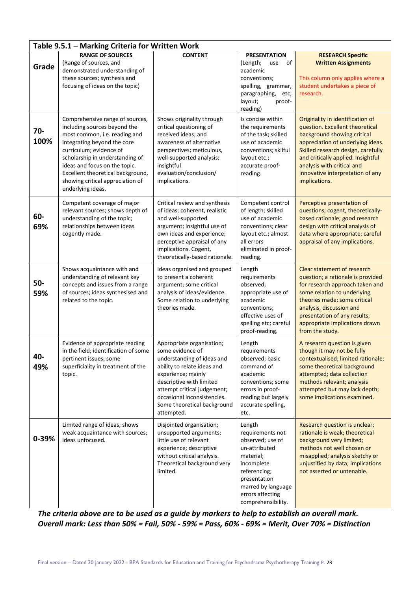| Table 9.5.1 - Marking Criteria for Written Work |                                                                                                                                                                                                                                                                                                                              |                                                                                                                                                                                                                                                                         |                                                                                                                                                                                            |                                                                                                                                                                                                                                                                                                        |  |
|-------------------------------------------------|------------------------------------------------------------------------------------------------------------------------------------------------------------------------------------------------------------------------------------------------------------------------------------------------------------------------------|-------------------------------------------------------------------------------------------------------------------------------------------------------------------------------------------------------------------------------------------------------------------------|--------------------------------------------------------------------------------------------------------------------------------------------------------------------------------------------|--------------------------------------------------------------------------------------------------------------------------------------------------------------------------------------------------------------------------------------------------------------------------------------------------------|--|
| Grade                                           | <b>RANGE OF SOURCES</b><br>(Range of sources, and<br>demonstrated understanding of<br>these sources; synthesis and<br>focusing of ideas on the topic)                                                                                                                                                                        | <b>CONTENT</b>                                                                                                                                                                                                                                                          | <b>PRESENTATION</b><br>(Length;<br>of<br>use<br>academic<br>conventions;<br>spelling, grammar,<br>paragraphing,<br>etc;<br>layout;<br>proof-<br>reading)                                   | <b>RESEARCH Specific</b><br><b>Written Assignments</b><br>This column only applies where a<br>student undertakes a piece of<br>research.                                                                                                                                                               |  |
| $70 -$<br>100%                                  | Comprehensive range of sources,<br>including sources beyond the<br>most common, i.e. reading and<br>integrating beyond the core<br>curriculum; evidence of<br>scholarship in understanding of<br>ideas and focus on the topic.<br>Excellent theoretical background,<br>showing critical appreciation of<br>underlying ideas. | Shows originality through<br>critical questioning of<br>received ideas; and<br>awareness of alternative<br>perspectives; meticulous,<br>well-supported analysis;<br>insightful<br>evaluation/conclusion/<br>implications.                                               | Is concise within<br>the requirements<br>of the task; skilled<br>use of academic<br>conventions; skilful<br>layout etc.;<br>accurate proof-<br>reading.                                    | Originality in identification of<br>question. Excellent theoretical<br>background showing critical<br>appreciation of underlying ideas.<br>Skilled research design, carefully<br>and critically applied. Insightful<br>analysis with critical and<br>innovative interpretation of any<br>implications. |  |
| 60-<br>69%                                      | Competent coverage of major<br>relevant sources; shows depth of<br>understanding of the topic;<br>relationships between ideas<br>cogently made.                                                                                                                                                                              | Critical review and synthesis<br>of ideas; coherent, realistic<br>and well-supported<br>argument; insightful use of<br>own ideas and experience;<br>perceptive appraisal of any<br>implications. Cogent,<br>theoretically-based rationale.                              | Competent control<br>of length; skilled<br>use of academic<br>conventions; clear<br>layout etc.; almost<br>all errors<br>eliminated in proof-<br>reading.                                  | Perceptive presentation of<br>questions; cogent, theoretically-<br>based rationale; good research<br>design with critical analysis of<br>data where appropriate; careful<br>appraisal of any implications.                                                                                             |  |
| 50-<br>59%                                      | Shows acquaintance with and<br>understanding of relevant key<br>concepts and issues from a range<br>of sources; ideas synthesised and<br>related to the topic.                                                                                                                                                               | Ideas organised and grouped<br>to present a coherent<br>argument; some critical<br>analysis of ideas/evidence.<br>Some relation to underlying<br>theories made.                                                                                                         | Length<br>requirements<br>observed;<br>appropriate use of<br>academic<br>conventions;<br>effective uses of<br>spelling etc; careful<br>proof-reading.                                      | Clear statement of research<br>question; a rationale is provided<br>for research approach taken and<br>some relation to underlying<br>theories made; some critical<br>analysis, discussion and<br>presentation of any results;<br>appropriate implications drawn<br>from the study.                    |  |
| 40-<br>49%                                      | Evidence of appropriate reading<br>in the field; identification of some<br>pertinent issues; some<br>superficiality in treatment of the<br>topic.                                                                                                                                                                            | Appropriate organisation;<br>some evidence of<br>understanding of ideas and<br>ability to relate ideas and<br>experience; mainly<br>descriptive with limited<br>attempt critical judgement;<br>occasional inconsistencies.<br>Some theoretical background<br>attempted. | Length<br>requirements<br>observed; basic<br>command of<br>academic<br>conventions; some<br>errors in proof-<br>reading but largely<br>accurate spelling,<br>etc.                          | A research question is given<br>though it may not be fully<br>contextualised; limited rationale;<br>some theoretical background<br>attempted; data collection<br>methods relevant; analysis<br>attempted but may lack depth;<br>some implications examined.                                            |  |
| 0-39%                                           | Limited range of ideas; shows<br>weak acquaintance with sources;<br>ideas unfocused.                                                                                                                                                                                                                                         | Disjointed organisation;<br>unsupported arguments;<br>little use of relevant<br>experience; descriptive<br>without critical analysis.<br>Theoretical background very<br>limited.                                                                                        | Length<br>requirements not<br>observed; use of<br>un-attributed<br>material;<br>incomplete<br>referencing;<br>presentation<br>marred by language<br>errors affecting<br>comprehensibility. | Research question is unclear;<br>rationale is weak; theoretical<br>background very limited;<br>methods not well chosen or<br>misapplied; analysis sketchy or<br>unjustified by data; implications<br>not asserted or untenable.                                                                        |  |

*The criteria above are to be used as a guide by markers to help to establish an overall mark. Overall mark: Less than 50% = Fail, 50% - 59% = Pass, 60% - 69% = Merit, Over 70% = Distinction*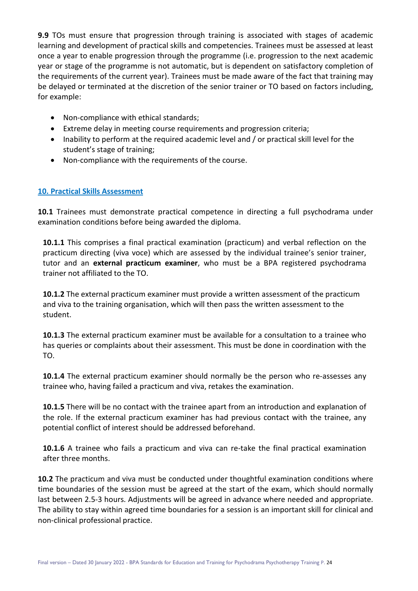**9.9** TOs must ensure that progression through training is associated with stages of academic learning and development of practical skills and competencies. Trainees must be assessed at least once a year to enable progression through the programme (i.e. progression to the next academic year or stage of the programme is not automatic, but is dependent on satisfactory completion of the requirements of the current year). Trainees must be made aware of the fact that training may be delayed or terminated at the discretion of the senior trainer or TO based on factors including, for example:

- Non-compliance with ethical standards;
- Extreme delay in meeting course requirements and progression criteria;
- Inability to perform at the required academic level and / or practical skill level for the student's stage of training;
- Non-compliance with the requirements of the course.

#### **10. Practical Skills Assessment**

**10.1** Trainees must demonstrate practical competence in directing a full psychodrama under examination conditions before being awarded the diploma.

**10.1.1** This comprises a final practical examination (practicum) and verbal reflection on the practicum directing (viva voce) which are assessed by the individual trainee's senior trainer, tutor and an **external practicum examiner**, who must be a BPA registered psychodrama trainer not affiliated to the TO.

**10.1.2** The external practicum examiner must provide a written assessment of the practicum and viva to the training organisation, which will then pass the written assessment to the student.

**10.1.3** The external practicum examiner must be available for a consultation to a trainee who has queries or complaints about their assessment. This must be done in coordination with the TO.

**10.1.4** The external practicum examiner should normally be the person who re-assesses any trainee who, having failed a practicum and viva, retakes the examination.

**10.1.5** There will be no contact with the trainee apart from an introduction and explanation of the role. If the external practicum examiner has had previous contact with the trainee, any potential conflict of interest should be addressed beforehand.

**10.1.6** A trainee who fails a practicum and viva can re-take the final practical examination after three months.

**10.2** The practicum and viva must be conducted under thoughtful examination conditions where time boundaries of the session must be agreed at the start of the exam, which should normally last between 2.5-3 hours. Adjustments will be agreed in advance where needed and appropriate. The ability to stay within agreed time boundaries for a session is an important skill for clinical and non-clinical professional practice.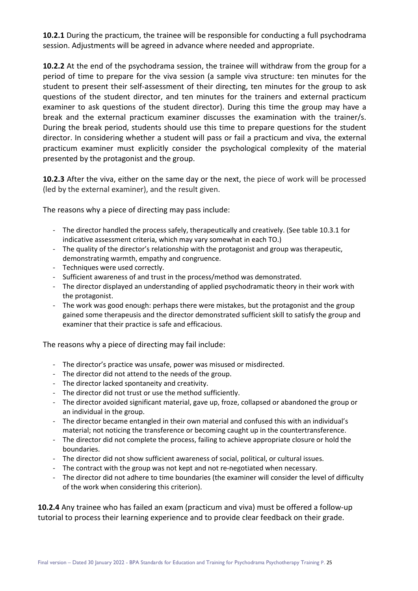**10.2.1** During the practicum, the trainee will be responsible for conducting a full psychodrama session. Adjustments will be agreed in advance where needed and appropriate.

**10.2.2** At the end of the psychodrama session, the trainee will withdraw from the group for a period of time to prepare for the viva session (a sample viva structure: ten minutes for the student to present their self-assessment of their directing, ten minutes for the group to ask questions of the student director, and ten minutes for the trainers and external practicum examiner to ask questions of the student director). During this time the group may have a break and the external practicum examiner discusses the examination with the trainer/s. During the break period, students should use this time to prepare questions for the student director. In considering whether a student will pass or fail a practicum and viva, the external practicum examiner must explicitly consider the psychological complexity of the material presented by the protagonist and the group.

**10.2.3** After the viva, either on the same day or the next, the piece of work will be processed (led by the external examiner), and the result given.

The reasons why a piece of directing may pass include:

- The director handled the process safely, therapeutically and creatively. (See table 10.3.1 for indicative assessment criteria, which may vary somewhat in each TO.)
- The quality of the director's relationship with the protagonist and group was therapeutic, demonstrating warmth, empathy and congruence.
- Techniques were used correctly.
- Sufficient awareness of and trust in the process/method was demonstrated.
- The director displayed an understanding of applied psychodramatic theory in their work with the protagonist.
- The work was good enough: perhaps there were mistakes, but the protagonist and the group gained some therapeusis and the director demonstrated sufficient skill to satisfy the group and examiner that their practice is safe and efficacious.

The reasons why a piece of directing may fail include:

- The director's practice was unsafe, power was misused or misdirected.
- The director did not attend to the needs of the group.
- The director lacked spontaneity and creativity.
- The director did not trust or use the method sufficiently.
- The director avoided significant material, gave up, froze, collapsed or abandoned the group or an individual in the group.
- The director became entangled in their own material and confused this with an individual's material; not noticing the transference or becoming caught up in the countertransference.
- The director did not complete the process, failing to achieve appropriate closure or hold the boundaries.
- The director did not show sufficient awareness of social, political, or cultural issues.
- The contract with the group was not kept and not re-negotiated when necessary.
- The director did not adhere to time boundaries (the examiner will consider the level of difficulty of the work when considering this criterion).

**10.2.4** Any trainee who has failed an exam (practicum and viva) must be offered a follow-up tutorial to process their learning experience and to provide clear feedback on their grade.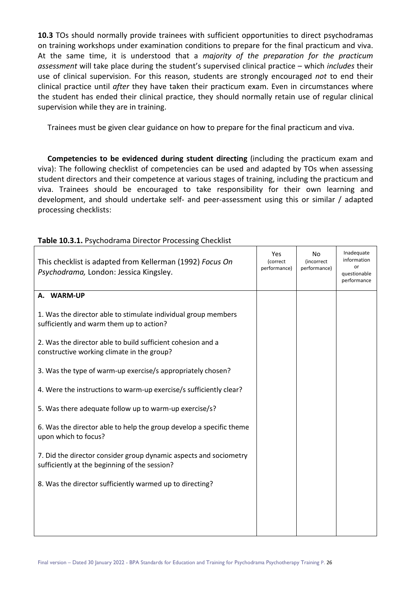**10.3** TOs should normally provide trainees with sufficient opportunities to direct psychodramas on training workshops under examination conditions to prepare for the final practicum and viva. At the same time, it is understood that a *majority of the preparation for the practicum assessment* will take place during the student's supervised clinical practice – which *includes* their use of clinical supervision. For this reason, students are strongly encouraged *not* to end their clinical practice until *after* they have taken their practicum exam. Even in circumstances where the student has ended their clinical practice, they should normally retain use of regular clinical supervision while they are in training.

Trainees must be given clear guidance on how to prepare for the final practicum and viva.

 **Competencies to be evidenced during student directing** (including the practicum exam and viva): The following checklist of competencies can be used and adapted by TOs when assessing student directors and their competence at various stages of training, including the practicum and viva. Trainees should be encouraged to take responsibility for their own learning and development, and should undertake self- and peer-assessment using this or similar / adapted processing checklists:

| This checklist is adapted from Kellerman (1992) Focus On<br>Psychodrama, London: Jessica Kingsley.                 | Yes<br>(correct<br>performance) | No<br><i>(incorrect</i><br>performance) | Inadequate<br>information<br>or<br>questionable<br>performance |
|--------------------------------------------------------------------------------------------------------------------|---------------------------------|-----------------------------------------|----------------------------------------------------------------|
| A. WARM-UP                                                                                                         |                                 |                                         |                                                                |
| 1. Was the director able to stimulate individual group members<br>sufficiently and warm them up to action?         |                                 |                                         |                                                                |
| 2. Was the director able to build sufficient cohesion and a<br>constructive working climate in the group?          |                                 |                                         |                                                                |
| 3. Was the type of warm-up exercise/s appropriately chosen?                                                        |                                 |                                         |                                                                |
| 4. Were the instructions to warm-up exercise/s sufficiently clear?                                                 |                                 |                                         |                                                                |
| 5. Was there adequate follow up to warm-up exercise/s?                                                             |                                 |                                         |                                                                |
| 6. Was the director able to help the group develop a specific theme<br>upon which to focus?                        |                                 |                                         |                                                                |
| 7. Did the director consider group dynamic aspects and sociometry<br>sufficiently at the beginning of the session? |                                 |                                         |                                                                |
| 8. Was the director sufficiently warmed up to directing?                                                           |                                 |                                         |                                                                |
|                                                                                                                    |                                 |                                         |                                                                |
|                                                                                                                    |                                 |                                         |                                                                |
|                                                                                                                    |                                 |                                         |                                                                |

#### **Table 10.3.1.** Psychodrama Director Processing Checklist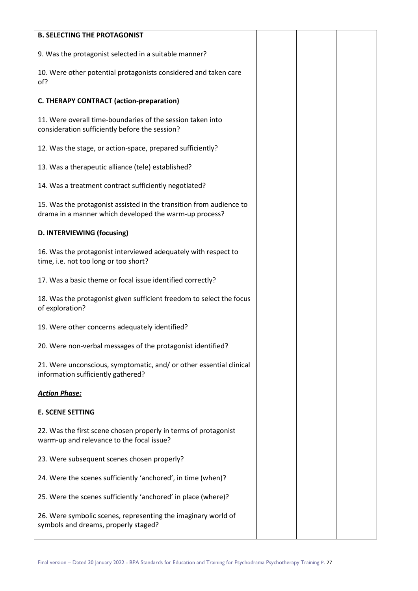| <b>B. SELECTING THE PROTAGONIST</b>                                                                                           |  |  |
|-------------------------------------------------------------------------------------------------------------------------------|--|--|
| 9. Was the protagonist selected in a suitable manner?                                                                         |  |  |
| 10. Were other potential protagonists considered and taken care<br>of?                                                        |  |  |
| <b>C. THERAPY CONTRACT (action-preparation)</b>                                                                               |  |  |
| 11. Were overall time-boundaries of the session taken into<br>consideration sufficiently before the session?                  |  |  |
| 12. Was the stage, or action-space, prepared sufficiently?                                                                    |  |  |
| 13. Was a therapeutic alliance (tele) established?                                                                            |  |  |
| 14. Was a treatment contract sufficiently negotiated?                                                                         |  |  |
| 15. Was the protagonist assisted in the transition from audience to<br>drama in a manner which developed the warm-up process? |  |  |
| D. INTERVIEWING (focusing)                                                                                                    |  |  |
| 16. Was the protagonist interviewed adequately with respect to<br>time, i.e. not too long or too short?                       |  |  |
| 17. Was a basic theme or focal issue identified correctly?                                                                    |  |  |
| 18. Was the protagonist given sufficient freedom to select the focus<br>of exploration?                                       |  |  |
| 19. Were other concerns adequately identified?                                                                                |  |  |
| 20. Were non-verbal messages of the protagonist identified?                                                                   |  |  |
| 21. Were unconscious, symptomatic, and/ or other essential clinical<br>information sufficiently gathered?                     |  |  |
| <b>Action Phase:</b>                                                                                                          |  |  |
| <b>E. SCENE SETTING</b>                                                                                                       |  |  |
| 22. Was the first scene chosen properly in terms of protagonist<br>warm-up and relevance to the focal issue?                  |  |  |
| 23. Were subsequent scenes chosen properly?                                                                                   |  |  |
| 24. Were the scenes sufficiently 'anchored', in time (when)?                                                                  |  |  |
| 25. Were the scenes sufficiently 'anchored' in place (where)?                                                                 |  |  |
| 26. Were symbolic scenes, representing the imaginary world of<br>symbols and dreams, properly staged?                         |  |  |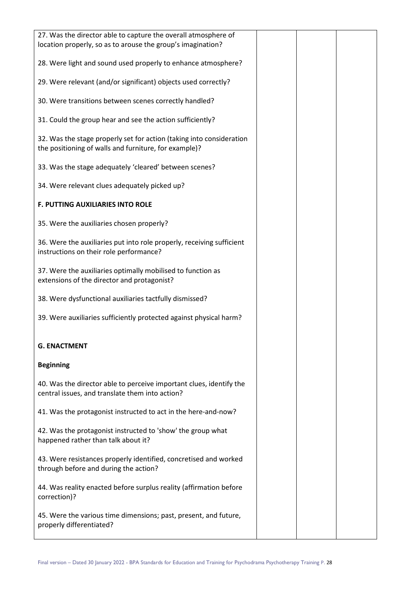| 27. Was the director able to capture the overall atmosphere of<br>location properly, so as to arouse the group's imagination? |  |  |
|-------------------------------------------------------------------------------------------------------------------------------|--|--|
| 28. Were light and sound used properly to enhance atmosphere?                                                                 |  |  |
| 29. Were relevant (and/or significant) objects used correctly?                                                                |  |  |
| 30. Were transitions between scenes correctly handled?                                                                        |  |  |
| 31. Could the group hear and see the action sufficiently?                                                                     |  |  |
| 32. Was the stage properly set for action (taking into consideration<br>the positioning of walls and furniture, for example)? |  |  |
| 33. Was the stage adequately 'cleared' between scenes?                                                                        |  |  |
| 34. Were relevant clues adequately picked up?                                                                                 |  |  |
| <b>F. PUTTING AUXILIARIES INTO ROLE</b>                                                                                       |  |  |
| 35. Were the auxiliaries chosen properly?                                                                                     |  |  |
| 36. Were the auxiliaries put into role properly, receiving sufficient<br>instructions on their role performance?              |  |  |
| 37. Were the auxiliaries optimally mobilised to function as<br>extensions of the director and protagonist?                    |  |  |
| 38. Were dysfunctional auxiliaries tactfully dismissed?                                                                       |  |  |
| 39. Were auxiliaries sufficiently protected against physical harm?                                                            |  |  |
| <b>G. ENACTMENT</b>                                                                                                           |  |  |
| <b>Beginning</b>                                                                                                              |  |  |
| 40. Was the director able to perceive important clues, identify the<br>central issues, and translate them into action?        |  |  |
| 41. Was the protagonist instructed to act in the here-and-now?                                                                |  |  |
| 42. Was the protagonist instructed to 'show' the group what<br>happened rather than talk about it?                            |  |  |
| 43. Were resistances properly identified, concretised and worked<br>through before and during the action?                     |  |  |
| 44. Was reality enacted before surplus reality (affirmation before<br>correction)?                                            |  |  |
| 45. Were the various time dimensions; past, present, and future,<br>properly differentiated?                                  |  |  |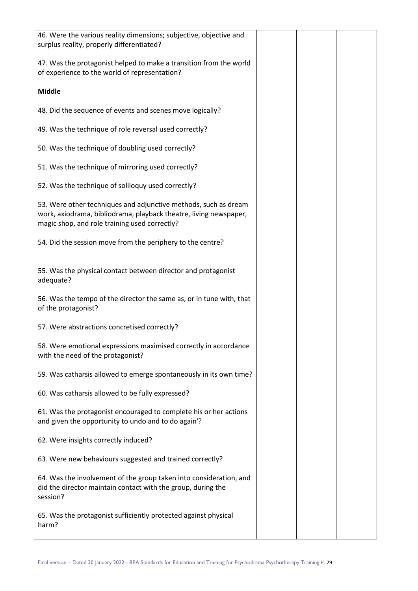| 46. Were the various reality dimensions; subjective, objective and<br>surplus reality, properly differentiated?                                                                       |  |  |
|---------------------------------------------------------------------------------------------------------------------------------------------------------------------------------------|--|--|
| 47. Was the protagonist helped to make a transition from the world<br>of experience to the world of representation?                                                                   |  |  |
| <b>Middle</b>                                                                                                                                                                         |  |  |
| 48. Did the sequence of events and scenes move logically?                                                                                                                             |  |  |
| 49. Was the technique of role reversal used correctly?                                                                                                                                |  |  |
| 50. Was the technique of doubling used correctly?                                                                                                                                     |  |  |
| 51. Was the technique of mirroring used correctly?                                                                                                                                    |  |  |
| 52. Was the technique of soliloquy used correctly?                                                                                                                                    |  |  |
| 53. Were other techniques and adjunctive methods, such as dream<br>work, axiodrama, bibliodrama, playback theatre, living newspaper,<br>magic shop, and role training used correctly? |  |  |
| 54. Did the session move from the periphery to the centre?                                                                                                                            |  |  |
| 55. Was the physical contact between director and protagonist<br>adequate?                                                                                                            |  |  |
| 56. Was the tempo of the director the same as, or in tune with, that<br>of the protagonist?                                                                                           |  |  |
| 57. Were abstractions concretised correctly?                                                                                                                                          |  |  |
| 58. Were emotional expressions maximised correctly in accordance<br>with the need of the protagonist?                                                                                 |  |  |
| 59. Was catharsis allowed to emerge spontaneously in its own time?                                                                                                                    |  |  |
| 60. Was catharsis allowed to be fully expressed?                                                                                                                                      |  |  |
| 61. Was the protagonist encouraged to complete his or her actions<br>and given the opportunity to undo and to do again'?                                                              |  |  |
| 62. Were insights correctly induced?                                                                                                                                                  |  |  |
| 63. Were new behaviours suggested and trained correctly?                                                                                                                              |  |  |
| 64. Was the involvement of the group taken into consideration, and<br>did the director maintain contact with the group, during the<br>session?                                        |  |  |
| 65. Was the protagonist sufficiently protected against physical<br>harm?                                                                                                              |  |  |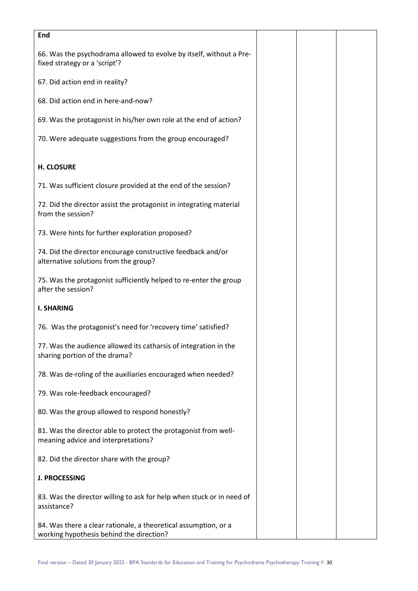| End                                                                                                         |  |  |
|-------------------------------------------------------------------------------------------------------------|--|--|
| 66. Was the psychodrama allowed to evolve by itself, without a Pre-<br>fixed strategy or a 'script'?        |  |  |
| 67. Did action end in reality?                                                                              |  |  |
| 68. Did action end in here-and-now?                                                                         |  |  |
| 69. Was the protagonist in his/her own role at the end of action?                                           |  |  |
| 70. Were adequate suggestions from the group encouraged?                                                    |  |  |
| <b>H. CLOSURE</b>                                                                                           |  |  |
| 71. Was sufficient closure provided at the end of the session?                                              |  |  |
| 72. Did the director assist the protagonist in integrating material<br>from the session?                    |  |  |
| 73. Were hints for further exploration proposed?                                                            |  |  |
| 74. Did the director encourage constructive feedback and/or<br>alternative solutions from the group?        |  |  |
| 75. Was the protagonist sufficiently helped to re-enter the group<br>after the session?                     |  |  |
| <b>I. SHARING</b>                                                                                           |  |  |
| 76. Was the protagonist's need for 'recovery time' satisfied?                                               |  |  |
| 77. Was the audience allowed its catharsis of integration in the<br>sharing portion of the drama?           |  |  |
| 78. Was de-roling of the auxiliaries encouraged when needed?                                                |  |  |
| 79. Was role-feedback encouraged?                                                                           |  |  |
| 80. Was the group allowed to respond honestly?                                                              |  |  |
| 81. Was the director able to protect the protagonist from well-<br>meaning advice and interpretations?      |  |  |
| 82. Did the director share with the group?                                                                  |  |  |
| <b>J. PROCESSING</b>                                                                                        |  |  |
| 83. Was the director willing to ask for help when stuck or in need of<br>assistance?                        |  |  |
| 84. Was there a clear rationale, a theoretical assumption, or a<br>working hypothesis behind the direction? |  |  |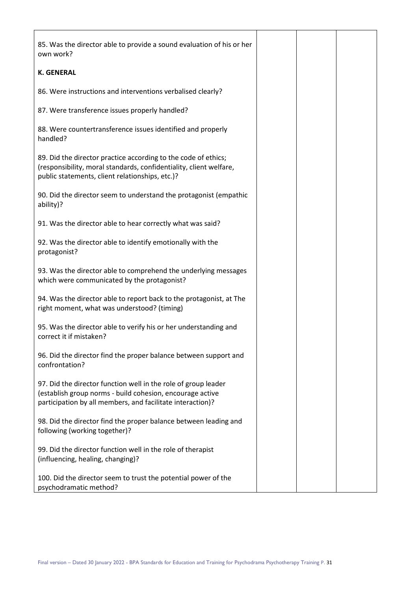| 85. Was the director able to provide a sound evaluation of his or her<br>own work?                                                                                                        |  |  |
|-------------------------------------------------------------------------------------------------------------------------------------------------------------------------------------------|--|--|
| <b>K. GENERAL</b>                                                                                                                                                                         |  |  |
| 86. Were instructions and interventions verbalised clearly?                                                                                                                               |  |  |
| 87. Were transference issues properly handled?                                                                                                                                            |  |  |
| 88. Were countertransference issues identified and properly<br>handled?                                                                                                                   |  |  |
| 89. Did the director practice according to the code of ethics;<br>(responsibility, moral standards, confidentiality, client welfare,<br>public statements, client relationships, etc.)?   |  |  |
| 90. Did the director seem to understand the protagonist (empathic<br>ability)?                                                                                                            |  |  |
| 91. Was the director able to hear correctly what was said?                                                                                                                                |  |  |
| 92. Was the director able to identify emotionally with the<br>protagonist?                                                                                                                |  |  |
| 93. Was the director able to comprehend the underlying messages<br>which were communicated by the protagonist?                                                                            |  |  |
| 94. Was the director able to report back to the protagonist, at The<br>right moment, what was understood? (timing)                                                                        |  |  |
| 95. Was the director able to verify his or her understanding and<br>correct it if mistaken?                                                                                               |  |  |
| 96. Did the director find the proper balance between support and<br>confrontation?                                                                                                        |  |  |
| 97. Did the director function well in the role of group leader<br>(establish group norms - build cohesion, encourage active<br>participation by all members, and facilitate interaction)? |  |  |
| 98. Did the director find the proper balance between leading and<br>following (working together)?                                                                                         |  |  |
| 99. Did the director function well in the role of therapist<br>(influencing, healing, changing)?                                                                                          |  |  |
| 100. Did the director seem to trust the potential power of the<br>psychodramatic method?                                                                                                  |  |  |